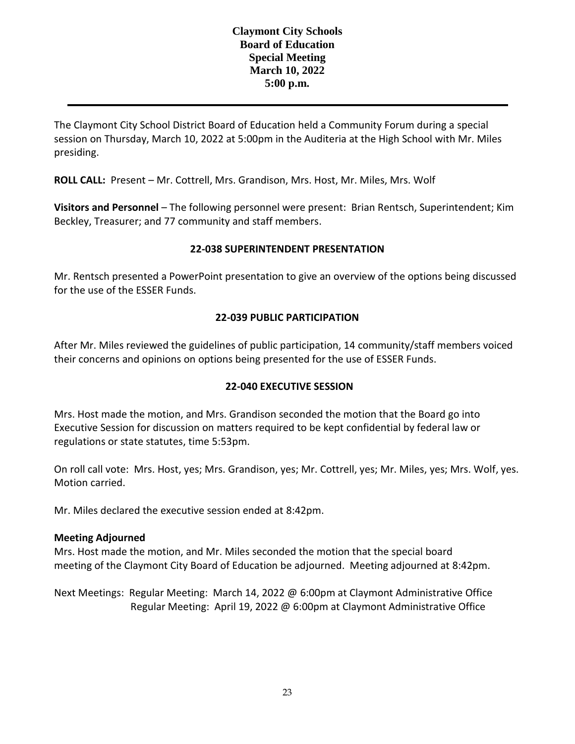# **Claymont City Schools Board of Education Special Meeting March 10, 2022 5:00 p.m.**

The Claymont City School District Board of Education held a Community Forum during a special session on Thursday, March 10, 2022 at 5:00pm in the Auditeria at the High School with Mr. Miles presiding.

**ROLL CALL:** Present – Mr. Cottrell, Mrs. Grandison, Mrs. Host, Mr. Miles, Mrs. Wolf

**Visitors and Personnel** – The following personnel were present: Brian Rentsch, Superintendent; Kim Beckley, Treasurer; and 77 community and staff members.

# **22-038 SUPERINTENDENT PRESENTATION**

Mr. Rentsch presented a PowerPoint presentation to give an overview of the options being discussed for the use of the ESSER Funds.

### **22-039 PUBLIC PARTICIPATION**

After Mr. Miles reviewed the guidelines of public participation, 14 community/staff members voiced their concerns and opinions on options being presented for the use of ESSER Funds.

# **22-040 EXECUTIVE SESSION**

Mrs. Host made the motion, and Mrs. Grandison seconded the motion that the Board go into Executive Session for discussion on matters required to be kept confidential by federal law or regulations or state statutes, time 5:53pm.

On roll call vote: Mrs. Host, yes; Mrs. Grandison, yes; Mr. Cottrell, yes; Mr. Miles, yes; Mrs. Wolf, yes. Motion carried.

Mr. Miles declared the executive session ended at 8:42pm.

#### **Meeting Adjourned**

Mrs. Host made the motion, and Mr. Miles seconded the motion that the special board meeting of the Claymont City Board of Education be adjourned. Meeting adjourned at 8:42pm.

Next Meetings: Regular Meeting: March 14, 2022 @ 6:00pm at Claymont Administrative Office Regular Meeting: April 19, 2022 @ 6:00pm at Claymont Administrative Office